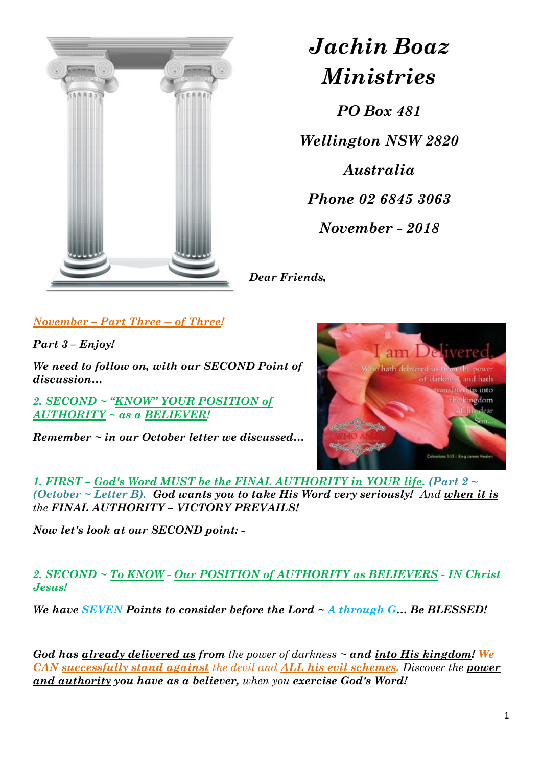

# *Jachin Boaz Ministries*

*PO Box 481 Wellington NSW 2820 Australia Phone 02 6845 3063 November - 2018*

*Dear Friends,*

*November – Part Three -- of Three!*

*Part 3 – Enjoy!*

*We need to follow on, with our SECOND Point of discussion…*

*2. SECOND ~ "KNOW" YOUR POSITION of AUTHORITY ~ as a BELIEVER!* 

*Remember ~ in our October letter we discussed…*



*1. FIRST – God's Word MUST be the FINAL AUTHORITY in YOUR life. (Part 2 ~ (October ~ Letter B). God wants you to take His Word very seriously! And when it is the FINAL AUTHORITY – VICTORY PREVAILS!*

*Now let's look at our SECOND point: -*

*2. SECOND ~ To KNOW - Our POSITION of AUTHORITY as BELIEVERS - IN Christ Jesus!*

*We have SEVEN Points to consider before the Lord ~ A through G… Be BLESSED!*

*God has already delivered us from the power of darkness ~ and into His kingdom! We CAN successfully stand against the devil and ALL his evil schemes. Discover the power and authority you have as a believer, when you exercise God's Word!*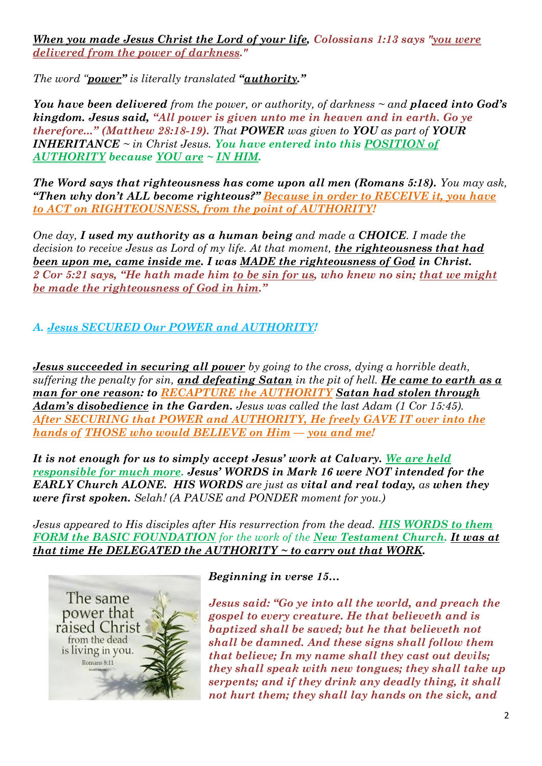*When you made Jesus Christ the Lord of your life, Colossians 1:13 says "you were delivered from the power of darkness."*

*The word "power" is literally translated "authority."* 

*You have been delivered from the power, or authority, of darkness ~ and placed into God's kingdom. Jesus said, "All power is given unto me in heaven and in earth. Go ye therefore..." (Matthew 28:18-19). That POWER was given to YOU as part of YOUR INHERITANCE ~ in Christ Jesus. You have entered into this POSITION of AUTHORITY because YOU are ~ IN HIM.*

*The Word says that righteousness has come upon all men (Romans 5:18). You may ask, "Then why don't ALL become righteous?" Because in order to RECEIVE it, you have to ACT on RIGHTEOUSNESS, from the point of AUTHORITY!*

*One day, I used my authority as a human being and made a CHOICE. I made the decision to receive Jesus as Lord of my life. At that moment, the righteousness that had been upon me, came inside me. I was MADE the righteousness of God in Christ. 2 Cor 5:21 says, "He hath made him to be sin for us, who knew no sin; that we might be made the righteousness of God in him."*

# *A. Jesus SECURED Our POWER and AUTHORITY!*

*Jesus succeeded in securing all power by going to the cross, dying a horrible death, suffering the penalty for sin, and defeating Satan in the pit of hell. He came to earth as a man for one reason: to RECAPTURE the AUTHORITY Satan had stolen through Adam's disobedience in the Garden. Jesus was called the last Adam (1 Cor 15:45). After SECURING that POWER and AUTHORITY, He freely GAVE IT over into the hands of THOSE who would BELIEVE on Him — you and me!*

*It is not enough for us to simply accept Jesus' work at Calvary. We are held responsible for much more. Jesus' WORDS in Mark 16 were NOT intended for the EARLY Church ALONE. HIS WORDS are just as vital and real today, as when they were first spoken. Selah! (A PAUSE and PONDER moment for you.)*

*Jesus appeared to His disciples after His resurrection from the dead. HIS WORDS to them FORM the BASIC FOUNDATION for the work of the New Testament Church. It was at that time He DELEGATED the AUTHORITY ~ to carry out that WORK.*



### *Beginning in verse 15…*

*Jesus said: "Go ye into all the world, and preach the gospel to every creature. He that believeth and is baptized shall be saved; but he that believeth not shall be damned. And these signs shall follow them that believe; In my name shall they cast out devils; they shall speak with new tongues; they shall take up serpents; and if they drink any deadly thing, it shall not hurt them; they shall lay hands on the sick, and*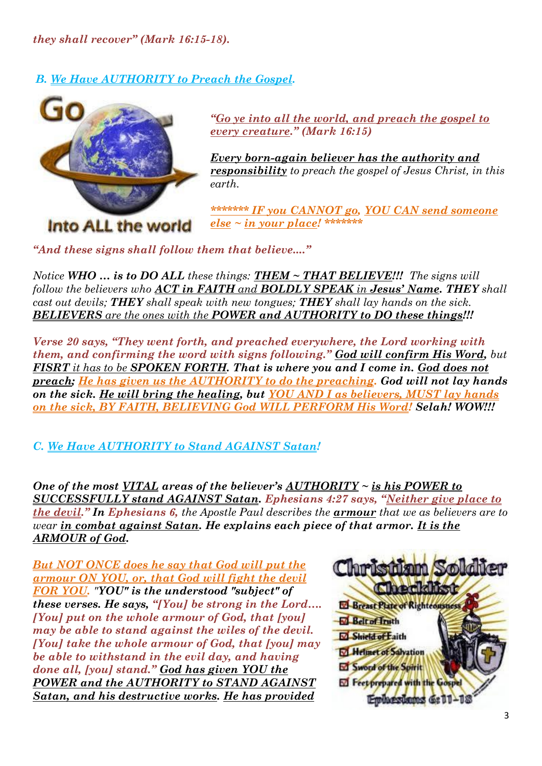*they shall recover" ([Mark 16:15-18\)](http://biblia.com/bible/nkjv/Mark%2016.15-18).*

*B. We Have AUTHORITY to Preach the Gospel.*



*"Go ye into all the world, and preach the gospel to every creature." (Mark 16:15)*

*Every born-again believer has the authority and responsibility to preach the gospel of Jesus Christ, in this earth.*

*\*\*\*\*\*\*\* IF you CANNOT go, YOU CAN send someone else ~ in your place! \*\*\*\*\*\*\**

*"And these signs shall follow them that believe...."*

*Notice WHO … is to DO ALL these things: THEM ~ THAT BELIEVE!!! The signs will follow the believers who ACT in FAITH and BOLDLY SPEAK in Jesus' Name. THEY shall cast out devils; THEY shall speak with new tongues; THEY shall lay hands on the sick. BELIEVERS are the ones with the POWER and AUTHORITY to DO these things!!!*

*Verse 20 says, "They went forth, and preached everywhere, the Lord working with them, and confirming the word with signs following." God will confirm His Word, but FISRT it has to be SPOKEN FORTH. That is where you and I come in. God does not preach; He has given us the AUTHORITY to do the preaching. God will not lay hands on the sick. He will bring the healing, but YOU AND I as believers, MUST lay hands on the sick, BY FAITH, BELIEVING God WILL PERFORM His Word! Selah! WOW!!!*

*C. We Have AUTHORITY to Stand AGAINST Satan!*

*One of the most VITAL areas of the believer's AUTHORITY ~ is his POWER to SUCCESSFULLY stand AGAINST Satan. Ephesians 4:27 says, "Neither give place to the devil." In Ephesians 6, the Apostle Paul describes the armour that we as believers are to wear in combat against Satan. He explains each piece of that armor. It is the ARMOUR of God.*

*But NOT ONCE does he say that God will put the armour ON YOU, or, that God will fight the devil FOR YOU. "YOU" is the understood "subject" of these verses. He says, "[You] be strong in the Lord…. [You] put on the whole armour of God, that [you] may be able to stand against the wiles of the devil. [You] take the whole armour of God, that [you] may be able to withstand in the evil day, and having done all, [you] stand." God has given YOU the POWER and the AUTHORITY to STAND AGAINST Satan, and his destructive works. He has provided* 

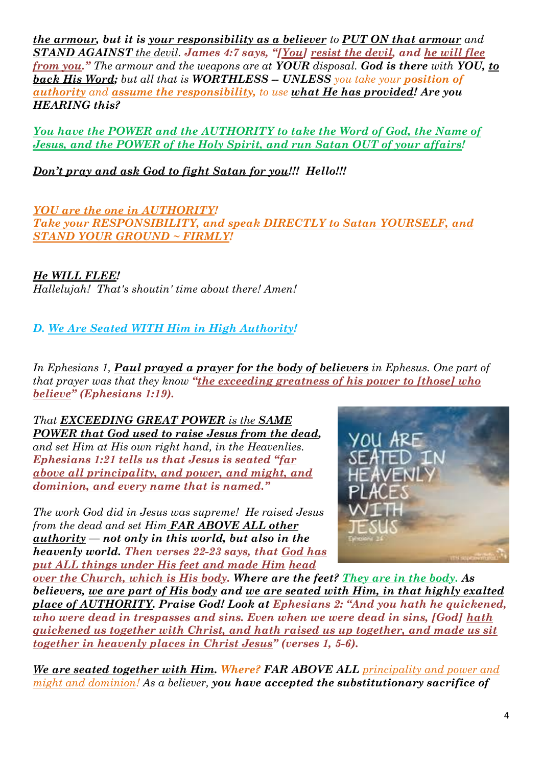*the armour, but it is your responsibility as a believer to PUT ON that armour and STAND AGAINST the devil. James 4:7 says, "[You] resist the devil, and he will flee from you." The armour and the weapons are at YOUR disposal. God is there with YOU, to back His Word; but all that is WORTHLESS -- UNLESS you take your position of authority and assume the responsibility, to use what He has provided! Are you HEARING this?*

*You have the POWER and the AUTHORITY to take the Word of God, the Name of Jesus, and the POWER of the Holy Spirit, and run Satan OUT of your affairs!*

*Don't pray and ask God to fight Satan for you!!! Hello!!!*

*YOU are the one in AUTHORITY! Take your RESPONSIBILITY, and speak DIRECTLY to Satan YOURSELF, and STAND YOUR GROUND ~ FIRMLY!*

*He WILL FLEE!*

*Hallelujah! That's shoutin' time about there! Amen!*

*D. We Are Seated WITH Him in High Authority!*

*In Ephesians 1, Paul prayed a prayer for the body of believers in Ephesus. One part of that prayer was that they know "the exceeding greatness of his power to [those] who believe" (Ephesians 1:19).*

*That EXCEEDING GREAT POWER is the SAME POWER that God used to raise Jesus from the dead, and set Him at His own right hand, in the Heavenlies. Ephesians 1:21 tells us that Jesus is seated "far above all principality, and power, and might, and dominion, and every name that is named."*

*The work God did in Jesus was supreme! He raised Jesus from the dead and set Him FAR ABOVE ALL other authority — not only in this world, but also in the heavenly world. Then verses 22-23 says, that God has put ALL things under His feet and made Him head* 



*over the Church, which is His body. Where are the feet? They are in the body. As believers, we are part of His body and we are seated with Him, in that highly exalted place of AUTHORITY. Praise God! Look at Ephesians 2: "And you hath he quickened, who were dead in trespasses and sins. Even when we were dead in sins, [God] hath quickened us together with Christ, and hath raised us up together, and made us sit together in heavenly places in Christ Jesus" (verses 1, 5-6).*

*We are seated together with Him. Where? FAR ABOVE ALL principality and power and might and dominion! As a believer, you have accepted the substitutionary sacrifice of*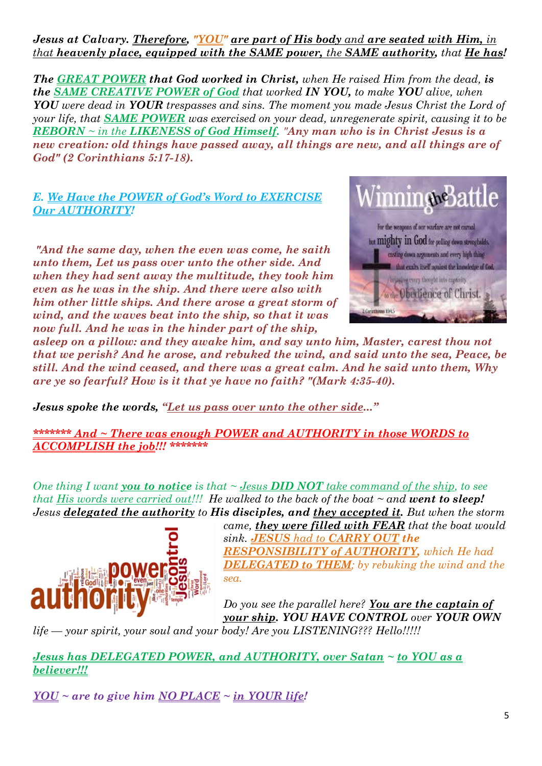*Jesus at Calvary. Therefore, "YOU" are part of His body and are seated with Him, in that heavenly place, equipped with the SAME power, the SAME authority, that He has!*

*The GREAT POWER that God worked in Christ, when He raised Him from the dead, is the SAME CREATIVE POWER of God that worked IN YOU, to make YOU alive, when YOU were dead in YOUR trespasses and sins. The moment you made Jesus Christ the Lord of your life, that SAME POWER was exercised on your dead, unregenerate spirit, causing it to be REBORN ~ in the LIKENESS of God Himself. "Any man who is in Christ Jesus is a new creation: old things have passed away, all things are new, and all things are of God" (2 Corinthians 5:17-18).*

#### *E. We Have the POWER of God's Word to EXERCISE Our AUTHORITY!*

*"And the same day, when the even was come, he saith unto them, Let us pass over unto the other side. And when they had sent away the multitude, they took him even as he was in the ship. And there were also with him other little ships. And there arose a great storm of wind, and the waves beat into the ship, so that it was now full. And he was in the hinder part of the ship,* 



*asleep on a pillow: and they awake him, and say unto him, Master, carest thou not that we perish? And he arose, and rebuked the wind, and said unto the sea, Peace, be still. And the wind ceased, and there was a great calm. And he said unto them, Why are ye so fearful? How is it that ye have no faith? "(Mark 4:35-40).*

*Jesus spoke the words, "Let us pass over unto the other side..."*

*\*\*\*\*\*\*\* And ~ There was enough POWER and AUTHORITY in those WORDS to ACCOMPLISH the job!!! \*\*\*\*\*\*\**

*One thing I want you to notice is that ~ Jesus DID NOT take command of the ship, to see that His words were carried out!!! He walked to the back of the boat ~ and went to sleep! Jesus delegated the authority to His disciples, and they accepted it. But when the storm* 



*came, they were filled with FEAR that the boat would sink. JESUS had to CARRY OUT the RESPONSIBILITY of AUTHORITY, which He had DELEGATED to THEM; by rebuking the wind and the sea.*

*Do you see the parallel here? You are the captain of your ship. YOU HAVE CONTROL over YOUR OWN*

*life — your spirit, your soul and your body! Are you LISTENING??? Hello!!!!!*

*Jesus has DELEGATED POWER, and AUTHORITY, over Satan ~ to YOU as a believer!!!*

*YOU ~ are to give him NO PLACE ~ in YOUR life!*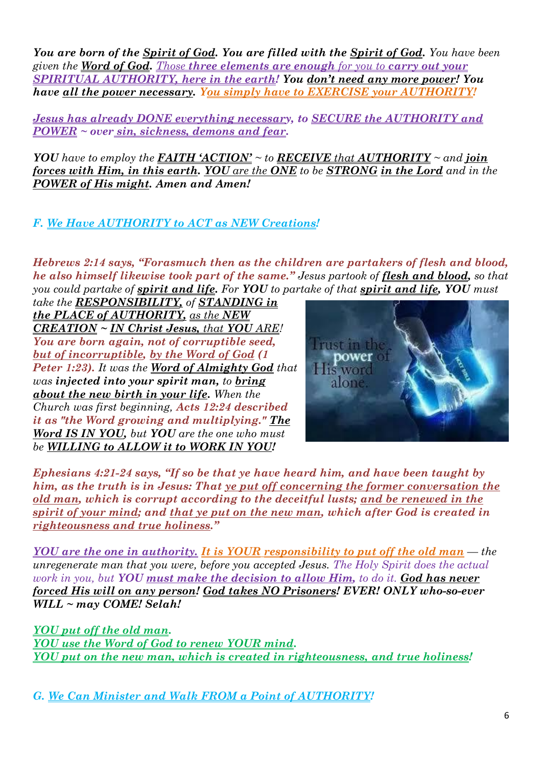*You are born of the Spirit of God. You are filled with the Spirit of God. You have been given the Word of God. Those three elements are enough for you to carry out your SPIRITUAL AUTHORITY, here in the earth! You don't need any more power! You have all the power necessary. You simply have to EXERCISE your AUTHORITY!*

*Jesus has already DONE everything necessary, to SECURE the AUTHORITY and POWER ~ over sin, sickness, demons and fear.*

*YOU* have to employ the **FAITH**  $^{\prime}$ **ACTION**<sup> $\prime$ </sup>  $\sim$  to *RECEIVE* that *AUTHORITY*  $\sim$  and *join forces with Him, in this earth. YOU are the ONE to be STRONG in the Lord and in the POWER of His might. Amen and Amen!*

## *F. We Have AUTHORITY to ACT as NEW Creations!*

*Hebrews 2:14 says, "Forasmuch then as the children are partakers of flesh and blood, he also himself likewise took part of the same." Jesus partook of flesh and blood, so that you could partake of spirit and life. For YOU to partake of that spirit and life, YOU must* 

*take the RESPONSIBILITY, of STANDING in the PLACE of AUTHORITY, as the NEW CREATION ~ IN Christ Jesus, that YOU ARE! You are born again, not of corruptible seed, but of incorruptible, by the Word of God (1 Peter 1:23). It was the Word of Almighty God that was injected into your spirit man, to bring about the new birth in your life. When the Church was first beginning, Acts 12:24 described it as "the Word growing and multiplying." The Word IS IN YOU, but YOU are the one who must be WILLING to ALLOW it to WORK IN YOU!*



*Ephesians 4:21-24 says, "If so be that ye have heard him, and have been taught by him, as the truth is in Jesus: That ye put off concerning the former conversation the old man, which is corrupt according to the deceitful lusts; and be renewed in the spirit of your mind; and that ye put on the new man, which after God is created in righteousness and true holiness."*

*YOU are the one in authority. It is YOUR responsibility to put off the old man — the unregenerate man that you were, before you accepted Jesus. The Holy Spirit does the actual work in you, but YOU must make the decision to allow Him, to do it. God has never forced His will on any person! God takes NO Prisoners! EVER! ONLY who-so-ever WILL ~ may COME! Selah!*

*YOU put off the old man. YOU use the Word of God to renew YOUR mind. YOU put on the new man, which is created in righteousness, and true holiness!*

*G. We Can Minister and Walk FROM a Point of AUTHORITY!*